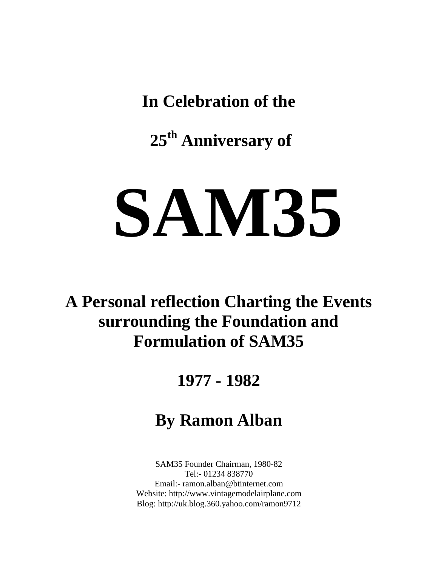**In Celebration of the** 

 **25th Anniversary of** 

## **SAM35**

**A Personal reflection Charting the Events surrounding the Foundation and Formulation of SAM35** 

## **1977 - 1982**

## **By Ramon Alban**

SAM35 Founder Chairman, 1980-82 Tel:- 01234 838770 Email:- ramon.alban@btinternet.com Website: http://www.vintagemodelairplane.com Blog: http://uk.blog.360.yahoo.com/ramon9712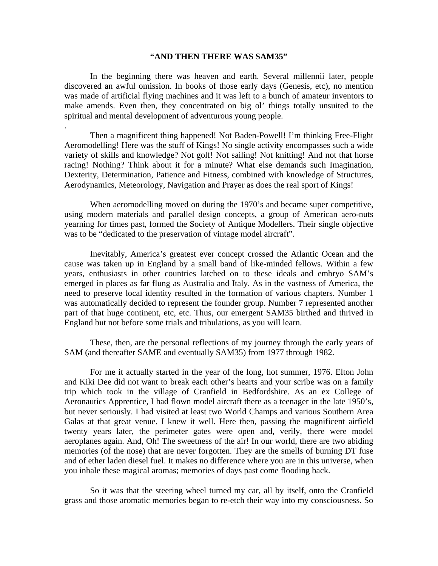## **"AND THEN THERE WAS SAM35"**

 In the beginning there was heaven and earth. Several millennii later, people discovered an awful omission. In books of those early days (Genesis, etc), no mention was made of artificial flying machines and it was left to a bunch of amateur inventors to make amends. Even then, they concentrated on big ol' things totally unsuited to the spiritual and mental development of adventurous young people.

.

 Then a magnificent thing happened! Not Baden-Powell! I'm thinking Free-Flight Aeromodelling! Here was the stuff of Kings! No single activity encompasses such a wide variety of skills and knowledge? Not golf! Not sailing! Not knitting! And not that horse racing! Nothing? Think about it for a minute? What else demands such Imagination, Dexterity, Determination, Patience and Fitness, combined with knowledge of Structures, Aerodynamics, Meteorology, Navigation and Prayer as does the real sport of Kings!

When aeromodelling moved on during the 1970's and became super competitive, using modern materials and parallel design concepts, a group of American aero-nuts yearning for times past, formed the Society of Antique Modellers. Their single objective was to be "dedicated to the preservation of vintage model aircraft".

 Inevitably, America's greatest ever concept crossed the Atlantic Ocean and the cause was taken up in England by a small band of like-minded fellows. Within a few years, enthusiasts in other countries latched on to these ideals and embryo SAM's emerged in places as far flung as Australia and Italy. As in the vastness of America, the need to preserve local identity resulted in the formation of various chapters. Number 1 was automatically decided to represent the founder group. Number 7 represented another part of that huge continent, etc, etc. Thus, our emergent SAM35 birthed and thrived in England but not before some trials and tribulations, as you will learn.

 These, then, are the personal reflections of my journey through the early years of SAM (and thereafter SAME and eventually SAM35) from 1977 through 1982.

 For me it actually started in the year of the long, hot summer, 1976. Elton John and Kiki Dee did not want to break each other's hearts and your scribe was on a family trip which took in the village of Cranfield in Bedfordshire. As an ex College of Aeronautics Apprentice, I had flown model aircraft there as a teenager in the late 1950's, but never seriously. I had visited at least two World Champs and various Southern Area Galas at that great venue. I knew it well. Here then, passing the magnificent airfield twenty years later, the perimeter gates were open and, verily, there were model aeroplanes again. And, Oh! The sweetness of the air! In our world, there are two abiding memories (of the nose) that are never forgotten. They are the smells of burning DT fuse and of ether laden diesel fuel. It makes no difference where you are in this universe, when you inhale these magical aromas; memories of days past come flooding back.

 So it was that the steering wheel turned my car, all by itself, onto the Cranfield grass and those aromatic memories began to re-etch their way into my consciousness. So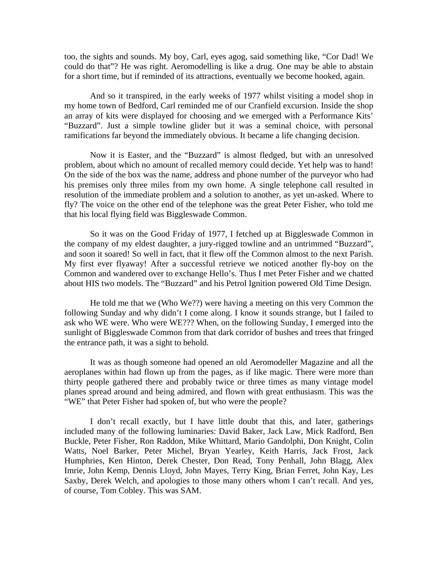too, the sights and sounds. My boy, Carl, eyes agog, said something like, "Cor Dad! We could do that"? He was right. Aeromodelling is like a drug. One may be able to abstain for a short time, but if reminded of its attractions, eventually we become hooked, again.

 And so it transpired, in the early weeks of 1977 whilst visiting a model shop in my home town of Bedford, Carl reminded me of our Cranfield excursion. Inside the shop an array of kits were displayed for choosing and we emerged with a Performance Kits' "Buzzard". Just a simple towline glider but it was a seminal choice, with personal ramifications far beyond the immediately obvious. It became a life changing decision.

 Now it is Easter, and the "Buzzard" is almost fledged, but with an unresolved problem, about which no amount of recalled memory could decide. Yet help was to hand! On the side of the box was the name, address and phone number of the purveyor who had his premises only three miles from my own home. A single telephone call resulted in resolution of the immediate problem and a solution to another, as yet un-asked. Where to fly? The voice on the other end of the telephone was the great Peter Fisher, who told me that his local flying field was Biggleswade Common.

 So it was on the Good Friday of 1977, I fetched up at Biggleswade Common in the company of my eldest daughter, a jury-rigged towline and an untrimmed "Buzzard", and soon it soared! So well in fact, that it flew off the Common almost to the next Parish. My first ever flyaway! After a successful retrieve we noticed another fly-boy on the Common and wandered over to exchange Hello's. Thus I met Peter Fisher and we chatted about HIS two models. The "Buzzard" and his Petrol Ignition powered Old Time Design.

 He told me that we (Who We??) were having a meeting on this very Common the following Sunday and why didn't I come along. I know it sounds strange, but I failed to ask who WE were. Who were WE??? When, on the following Sunday, I emerged into the sunlight of Biggleswade Common from that dark corridor of bushes and trees that fringed the entrance path, it was a sight to behold.

 It was as though someone had opened an old Aeromodeller Magazine and all the aeroplanes within had flown up from the pages, as if like magic. There were more than thirty people gathered there and probably twice or three times as many vintage model planes spread around and being admired, and flown with great enthusiasm. This was the "WE" that Peter Fisher had spoken of, but who were the people?

 I don't recall exactly, but I have little doubt that this, and later, gatherings included many of the following luminaries: David Baker, Jack Law, Mick Radford, Ben Buckle, Peter Fisher, Ron Raddon, Mike Whittard, Mario Gandolphi, Don Knight, Colin Watts, Noel Barker, Peter Michel, Bryan Yearley, Keith Harris, Jack Frost, Jack Humphries, Ken Hinton, Derek Chester, Don Read, Tony Penhall, John Blagg, Alex Imrie, John Kemp, Dennis Lloyd, John Mayes, Terry King, Brian Ferret, John Kay, Les Saxby, Derek Welch, and apologies to those many others whom I can't recall. And yes, of course, Tom Cobley. This was SAM.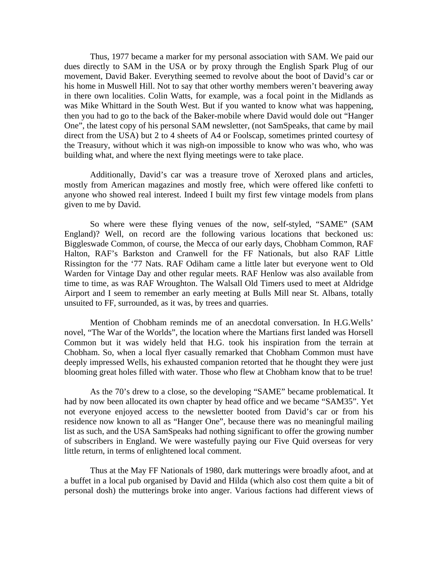Thus, 1977 became a marker for my personal association with SAM. We paid our dues directly to SAM in the USA or by proxy through the English Spark Plug of our movement, David Baker. Everything seemed to revolve about the boot of David's car or his home in Muswell Hill. Not to say that other worthy members weren't beavering away in there own localities. Colin Watts, for example, was a focal point in the Midlands as was Mike Whittard in the South West. But if you wanted to know what was happening, then you had to go to the back of the Baker-mobile where David would dole out "Hanger One", the latest copy of his personal SAM newsletter, (not SamSpeaks, that came by mail direct from the USA) but 2 to 4 sheets of A4 or Foolscap, sometimes printed courtesy of the Treasury, without which it was nigh-on impossible to know who was who, who was building what, and where the next flying meetings were to take place.

 Additionally, David's car was a treasure trove of Xeroxed plans and articles, mostly from American magazines and mostly free, which were offered like confetti to anyone who showed real interest. Indeed I built my first few vintage models from plans given to me by David.

 So where were these flying venues of the now, self-styled, "SAME" (SAM England)? Well, on record are the following various locations that beckoned us: Biggleswade Common, of course, the Mecca of our early days, Chobham Common, RAF Halton, RAF's Barkston and Cranwell for the FF Nationals, but also RAF Little Rissington for the '77 Nats. RAF Odiham came a little later but everyone went to Old Warden for Vintage Day and other regular meets. RAF Henlow was also available from time to time, as was RAF Wroughton. The Walsall Old Timers used to meet at Aldridge Airport and I seem to remember an early meeting at Bulls Mill near St. Albans, totally unsuited to FF, surrounded, as it was, by trees and quarries.

 Mention of Chobham reminds me of an anecdotal conversation. In H.G.Wells' novel, "The War of the Worlds", the location where the Martians first landed was Horsell Common but it was widely held that H.G. took his inspiration from the terrain at Chobham. So, when a local flyer casually remarked that Chobham Common must have deeply impressed Wells, his exhausted companion retorted that he thought they were just blooming great holes filled with water. Those who flew at Chobham know that to be true!

 As the 70's drew to a close, so the developing "SAME" became problematical. It had by now been allocated its own chapter by head office and we became "SAM35". Yet not everyone enjoyed access to the newsletter booted from David's car or from his residence now known to all as "Hanger One", because there was no meaningful mailing list as such, and the USA SamSpeaks had nothing significant to offer the growing number of subscribers in England. We were wastefully paying our Five Quid overseas for very little return, in terms of enlightened local comment.

 Thus at the May FF Nationals of 1980, dark mutterings were broadly afoot, and at a buffet in a local pub organised by David and Hilda (which also cost them quite a bit of personal dosh) the mutterings broke into anger. Various factions had different views of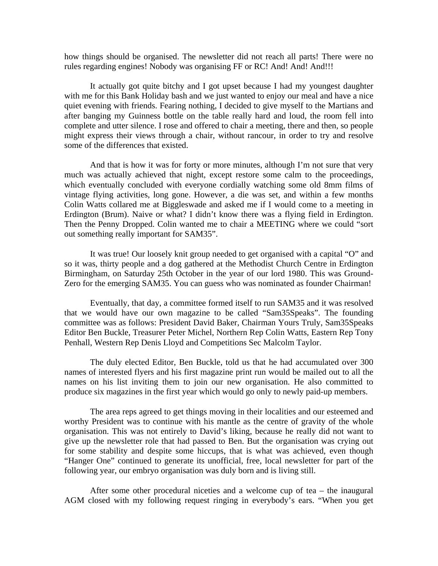how things should be organised. The newsletter did not reach all parts! There were no rules regarding engines! Nobody was organising FF or RC! And! And!!!!

 It actually got quite bitchy and I got upset because I had my youngest daughter with me for this Bank Holiday bash and we just wanted to enjoy our meal and have a nice quiet evening with friends. Fearing nothing, I decided to give myself to the Martians and after banging my Guinness bottle on the table really hard and loud, the room fell into complete and utter silence. I rose and offered to chair a meeting, there and then, so people might express their views through a chair, without rancour, in order to try and resolve some of the differences that existed.

 And that is how it was for forty or more minutes, although I'm not sure that very much was actually achieved that night, except restore some calm to the proceedings, which eventually concluded with everyone cordially watching some old 8mm films of vintage flying activities, long gone. However, a die was set, and within a few months Colin Watts collared me at Biggleswade and asked me if I would come to a meeting in Erdington (Brum). Naive or what? I didn't know there was a flying field in Erdington. Then the Penny Dropped. Colin wanted me to chair a MEETING where we could "sort out something really important for SAM35".

 It was true! Our loosely knit group needed to get organised with a capital "O" and so it was, thirty people and a dog gathered at the Methodist Church Centre in Erdington Birmingham, on Saturday 25th October in the year of our lord 1980. This was Ground-Zero for the emerging SAM35. You can guess who was nominated as founder Chairman!

 Eventually, that day, a committee formed itself to run SAM35 and it was resolved that we would have our own magazine to be called "Sam35Speaks". The founding committee was as follows: President David Baker, Chairman Yours Truly, Sam35Speaks Editor Ben Buckle, Treasurer Peter Michel, Northern Rep Colin Watts, Eastern Rep Tony Penhall, Western Rep Denis Lloyd and Competitions Sec Malcolm Taylor.

 The duly elected Editor, Ben Buckle, told us that he had accumulated over 300 names of interested flyers and his first magazine print run would be mailed out to all the names on his list inviting them to join our new organisation. He also committed to produce six magazines in the first year which would go only to newly paid-up members.

 The area reps agreed to get things moving in their localities and our esteemed and worthy President was to continue with his mantle as the centre of gravity of the whole organisation. This was not entirely to David's liking, because he really did not want to give up the newsletter role that had passed to Ben. But the organisation was crying out for some stability and despite some hiccups, that is what was achieved, even though "Hanger One" continued to generate its unofficial, free, local newsletter for part of the following year, our embryo organisation was duly born and is living still.

 After some other procedural niceties and a welcome cup of tea – the inaugural AGM closed with my following request ringing in everybody's ears. "When you get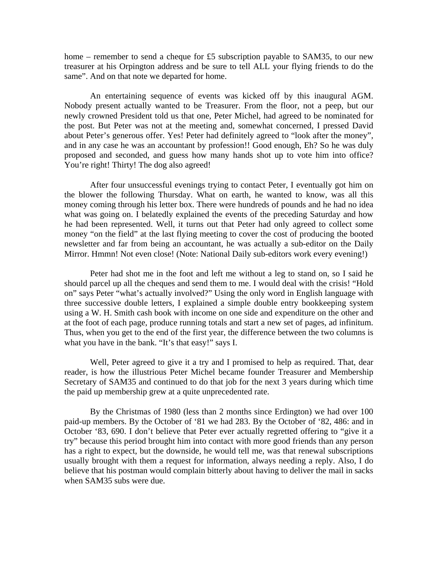home – remember to send a cheque for £5 subscription payable to SAM35, to our new treasurer at his Orpington address and be sure to tell ALL your flying friends to do the same". And on that note we departed for home.

 An entertaining sequence of events was kicked off by this inaugural AGM. Nobody present actually wanted to be Treasurer. From the floor, not a peep, but our newly crowned President told us that one, Peter Michel, had agreed to be nominated for the post. But Peter was not at the meeting and, somewhat concerned, I pressed David about Peter's generous offer. Yes! Peter had definitely agreed to "look after the money", and in any case he was an accountant by profession!! Good enough, Eh? So he was duly proposed and seconded, and guess how many hands shot up to vote him into office? You're right! Thirty! The dog also agreed!

 After four unsuccessful evenings trying to contact Peter, I eventually got him on the blower the following Thursday. What on earth, he wanted to know, was all this money coming through his letter box. There were hundreds of pounds and he had no idea what was going on. I belatedly explained the events of the preceding Saturday and how he had been represented. Well, it turns out that Peter had only agreed to collect some money "on the field" at the last flying meeting to cover the cost of producing the booted newsletter and far from being an accountant, he was actually a sub-editor on the Daily Mirror. Hmmn! Not even close! (Note: National Daily sub-editors work every evening!)

 Peter had shot me in the foot and left me without a leg to stand on, so I said he should parcel up all the cheques and send them to me. I would deal with the crisis! "Hold on" says Peter "what's actually involved?" Using the only word in English language with three successive double letters, I explained a simple double entry bookkeeping system using a W. H. Smith cash book with income on one side and expenditure on the other and at the foot of each page, produce running totals and start a new set of pages, ad infinitum. Thus, when you get to the end of the first year, the difference between the two columns is what you have in the bank. "It's that easy!" says I.

 Well, Peter agreed to give it a try and I promised to help as required. That, dear reader, is how the illustrious Peter Michel became founder Treasurer and Membership Secretary of SAM35 and continued to do that job for the next 3 years during which time the paid up membership grew at a quite unprecedented rate.

 By the Christmas of 1980 (less than 2 months since Erdington) we had over 100 paid-up members. By the October of '81 we had 283. By the October of '82, 486: and in October '83, 690. I don't believe that Peter ever actually regretted offering to "give it a try" because this period brought him into contact with more good friends than any person has a right to expect, but the downside, he would tell me, was that renewal subscriptions usually brought with them a request for information, always needing a reply. Also, I do believe that his postman would complain bitterly about having to deliver the mail in sacks when SAM35 subs were due.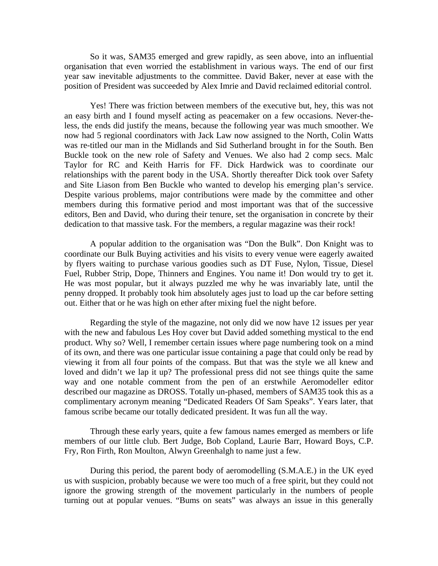So it was, SAM35 emerged and grew rapidly, as seen above, into an influential organisation that even worried the establishment in various ways. The end of our first year saw inevitable adjustments to the committee. David Baker, never at ease with the position of President was succeeded by Alex Imrie and David reclaimed editorial control.

 Yes! There was friction between members of the executive but, hey, this was not an easy birth and I found myself acting as peacemaker on a few occasions. Never-theless, the ends did justify the means, because the following year was much smoother. We now had 5 regional coordinators with Jack Law now assigned to the North, Colin Watts was re-titled our man in the Midlands and Sid Sutherland brought in for the South. Ben Buckle took on the new role of Safety and Venues. We also had 2 comp secs. Malc Taylor for RC and Keith Harris for FF. Dick Hardwick was to coordinate our relationships with the parent body in the USA. Shortly thereafter Dick took over Safety and Site Liason from Ben Buckle who wanted to develop his emerging plan's service. Despite various problems, major contributions were made by the committee and other members during this formative period and most important was that of the successive editors, Ben and David, who during their tenure, set the organisation in concrete by their dedication to that massive task. For the members, a regular magazine was their rock!

 A popular addition to the organisation was "Don the Bulk". Don Knight was to coordinate our Bulk Buying activities and his visits to every venue were eagerly awaited by flyers waiting to purchase various goodies such as DT Fuse, Nylon, Tissue, Diesel Fuel, Rubber Strip, Dope, Thinners and Engines. You name it! Don would try to get it. He was most popular, but it always puzzled me why he was invariably late, until the penny dropped. It probably took him absolutely ages just to load up the car before setting out. Either that or he was high on ether after mixing fuel the night before.

 Regarding the style of the magazine, not only did we now have 12 issues per year with the new and fabulous Les Hoy cover but David added something mystical to the end product. Why so? Well, I remember certain issues where page numbering took on a mind of its own, and there was one particular issue containing a page that could only be read by viewing it from all four points of the compass. But that was the style we all knew and loved and didn't we lap it up? The professional press did not see things quite the same way and one notable comment from the pen of an erstwhile Aeromodeller editor described our magazine as DROSS. Totally un-phased, members of SAM35 took this as a complimentary acronym meaning "Dedicated Readers Of Sam Speaks". Years later, that famous scribe became our totally dedicated president. It was fun all the way.

 Through these early years, quite a few famous names emerged as members or life members of our little club. Bert Judge, Bob Copland, Laurie Barr, Howard Boys, C.P. Fry, Ron Firth, Ron Moulton, Alwyn Greenhalgh to name just a few.

 During this period, the parent body of aeromodelling (S.M.A.E.) in the UK eyed us with suspicion, probably because we were too much of a free spirit, but they could not ignore the growing strength of the movement particularly in the numbers of people turning out at popular venues. "Bums on seats" was always an issue in this generally